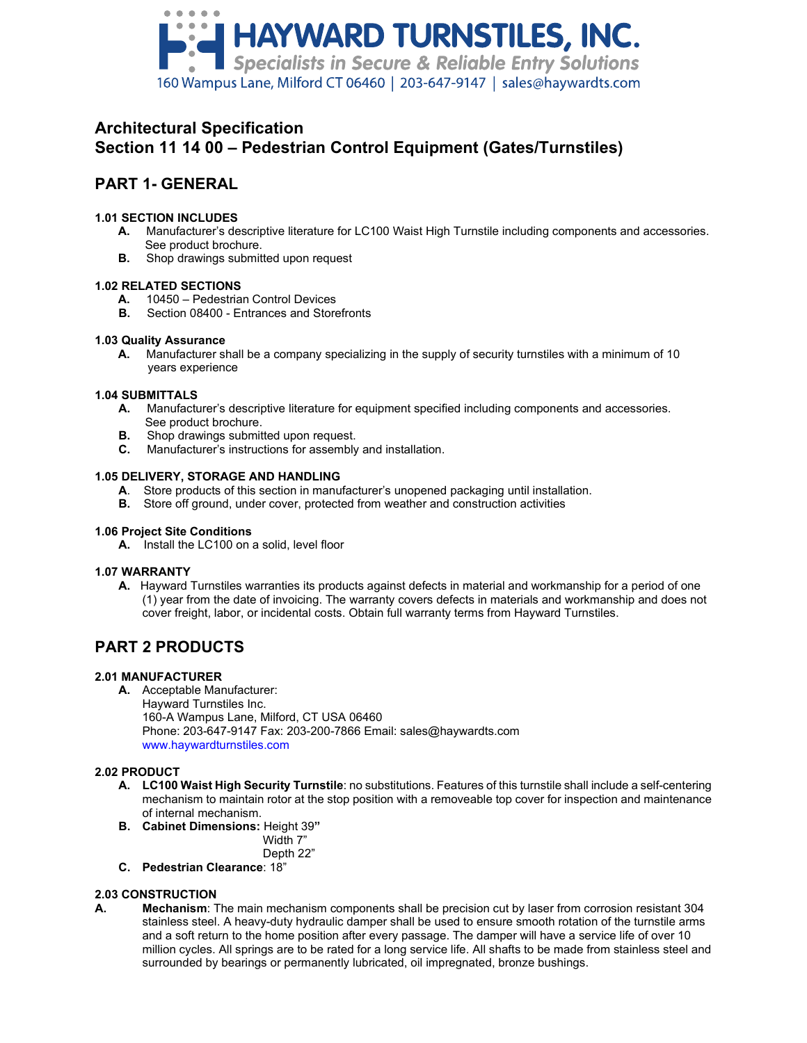

# **Architectural Specification Section 11 14 00 – Pedestrian Control Equipment (Gates/Turnstiles)**

# **PART 1- GENERAL**

# **1.01 SECTION INCLUDES**

- **A.** Manufacturer's descriptive literature for LC100 Waist High Turnstile including components and accessories. See product brochure.
- **B.** Shop drawings submitted upon request

# **1.02 RELATED SECTIONS**

- **A.** 10450 Pedestrian Control Devices
	- **B.** Section 08400 Entrances and Storefronts

## **1.03 Quality Assurance**

 **A.** Manufacturer shall be a company specializing in the supply of security turnstiles with a minimum of 10 years experience

## **1.04 SUBMITTALS**

- **A.** Manufacturer's descriptive literature for equipment specified including components and accessories. See product brochure.<br>**B.** Shop drawings submit
- **B.** Shop drawings submitted upon request.<br>**C.** Manufacturer's instructions for assembly
- **C.** Manufacturer's instructions for assembly and installation.

## **1.05 DELIVERY, STORAGE AND HANDLING**

- **A**. Store products of this section in manufacturer's unopened packaging until installation.
- **B.** Store off ground, under cover, protected from weather and construction activities

### **1.06 Project Site Conditions**

**A.** Install the LC100 on a solid, level floor

### **1.07 WARRANTY**

**A.** Hayward Turnstiles warranties its products against defects in material and workmanship for a period of one (1) year from the date of invoicing. The warranty covers defects in materials and workmanship and does not cover freight, labor, or incidental costs. Obtain full warranty terms from Hayward Turnstiles.

# **PART 2 PRODUCTS**

# **2.01 MANUFACTURER**

**A.** Acceptable Manufacturer:

Hayward Turnstiles Inc. 160-A Wampus Lane, Milford, CT USA 06460 Phone: 203-647-9147 Fax: 203-200-7866 Email: sales@haywardts.com www.haywardturnstiles.com

# **2.02 PRODUCT**

- **A. LC100 Waist High Security Turnstile**: no substitutions. Features of this turnstile shall include a self-centering mechanism to maintain rotor at the stop position with a removeable top cover for inspection and maintenance of internal mechanism.
- **B. Cabinet Dimensions:** Height 39**"**

Width 7" Depth 22"

**C. Pedestrian Clearance**: 18"

# **2.03 CONSTRUCTION**

**A. Mechanism**: The main mechanism components shall be precision cut by laser from corrosion resistant 304 stainless steel. A heavy-duty hydraulic damper shall be used to ensure smooth rotation of the turnstile arms and a soft return to the home position after every passage. The damper will have a service life of over 10 million cycles. All springs are to be rated for a long service life. All shafts to be made from stainless steel and surrounded by bearings or permanently lubricated, oil impregnated, bronze bushings.